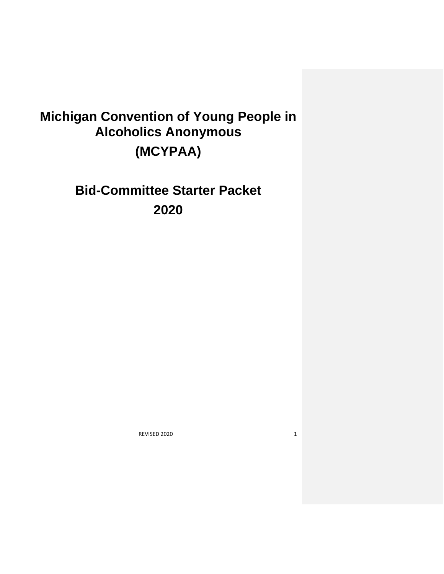# **Michigan Convention of Young People in Alcoholics Anonymous (MCYPAA)**

**Bid-Committee Starter Packet 2020**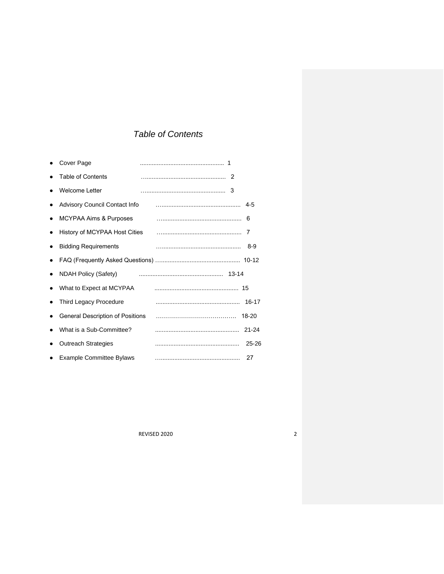# *Table of Contents*

|   | Cover Page                              |  |           |
|---|-----------------------------------------|--|-----------|
|   | <b>Table of Contents</b>                |  |           |
|   | <b>Welcome Letter</b>                   |  |           |
|   | <b>Advisory Council Contact Info</b>    |  | 4-5       |
|   | <b>MCYPAA Aims &amp; Purposes</b>       |  | 6         |
|   | History of MCYPAA Host Cities           |  | 7         |
|   | <b>Bidding Requirements</b>             |  | 8-9       |
|   |                                         |  |           |
| ٠ | <b>NDAH Policy (Safety)</b>             |  |           |
|   | What to Expect at MCYPAA                |  |           |
|   | Third Legacy Procedure                  |  |           |
|   | <b>General Description of Positions</b> |  | 18-20     |
|   | What is a Sub-Committee?                |  |           |
|   | <b>Outreach Strategies</b>              |  | $25 - 26$ |
|   | <b>Example Committee Bylaws</b>         |  | 27        |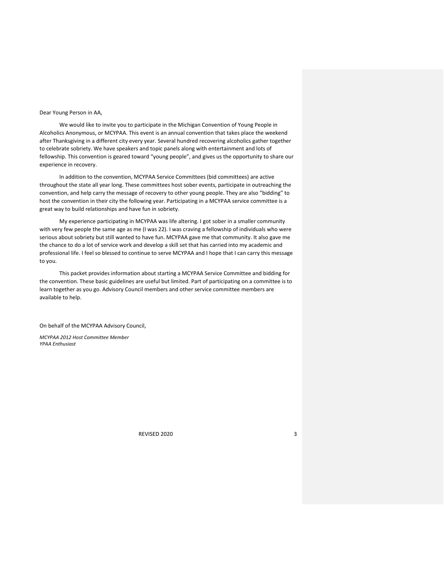## Dear Young Person in AA,

We would like to invite you to participate in the Michigan Convention of Young People in Alcoholics Anonymous, or MCYPAA. This event is an annual convention that takes place the weekend after Thanksgiving in a different city every year. Several hundred recovering alcoholics gather together to celebrate sobriety. We have speakers and topic panels along with entertainment and lots of fellowship. This convention is geared toward "young people", and gives us the opportunity to share our experience in recovery.

In addition to the convention, MCYPAA Service Committees (bid committees) are active throughout the state all year long. These committees host sober events, participate in outreaching the convention, and help carry the message of recovery to other young people. They are also "bidding" to host the convention in their city the following year. Participating in a MCYPAA service committee is a great way to build relationships and have fun in sobriety.

My experience participating in MCYPAA was life altering. I got sober in a smaller community with very few people the same age as me (I was 22). I was craving a fellowship of individuals who were serious about sobriety but still wanted to have fun. MCYPAA gave me that community. It also gave me the chance to do a lot of service work and develop a skill set that has carried into my academic and professional life. I feel so blessed to continue to serve MCYPAA and I hope that I can carry this message to you.

This packet provides information about starting a MCYPAA Service Committee and bidding for the convention. These basic guidelines are useful but limited. Part of participating on a committee is to learn together as you go. Advisory Council members and other service committee members are available to help.

On behalf of the MCYPAA Advisory Council,

*MCYPAA 2012 Host Committee Member YPAA Enthusiast*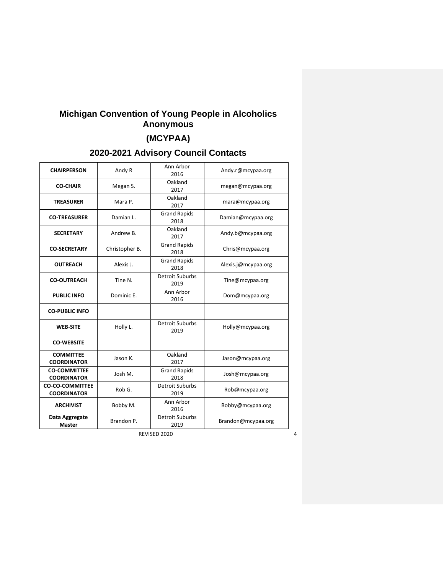# **Michigan Convention of Young People in Alcoholics Anonymous**

# **(MCYPAA)**

# **2020-2021 Advisory Council Contacts**

| <b>CHAIRPERSON</b>                           | Andy R         | Ann Arbor<br>2016              | Andy.r@mcypaa.org   |
|----------------------------------------------|----------------|--------------------------------|---------------------|
| <b>CO-CHAIR</b>                              | Megan S.       | Oakland<br>2017                | megan@mcypaa.org    |
| <b>TREASURER</b>                             | Mara P.        | Oakland<br>2017                | mara@mcypaa.org     |
| <b>CO-TREASURER</b>                          | Damian L.      | <b>Grand Rapids</b><br>2018    | Damian@mcypaa.org   |
| <b>SECRETARY</b>                             | Andrew B.      | Oakland<br>2017                | Andy.b@mcypaa.org   |
| <b>CO-SECRETARY</b>                          | Christopher B. | <b>Grand Rapids</b><br>2018    | Chris@mcypaa.org    |
| <b>OUTREACH</b>                              | Alexis J.      | <b>Grand Rapids</b><br>2018    | Alexis.j@mcypaa.org |
| <b>CO-OUTREACH</b>                           | Tine N.        | Detroit Suburbs<br>2019        | Tine@mcypaa.org     |
| <b>PUBLIC INFO</b>                           | Dominic E.     | Ann Arbor<br>2016              | Dom@mcypaa.org      |
| <b>CO-PUBLIC INFO</b>                        |                |                                |                     |
| <b>WEB-SITE</b>                              | Holly L.       | <b>Detroit Suburbs</b><br>2019 | Holly@mcypaa.org    |
| <b>CO-WEBSITE</b>                            |                |                                |                     |
| <b>COMMITTEE</b><br><b>COORDINATOR</b>       | Jason K.       | Oakland<br>2017                | Jason@mcypaa.org    |
| <b>CO-COMMITTEE</b><br><b>COORDINATOR</b>    | Josh M.        | <b>Grand Rapids</b><br>2018    | Josh@mcypaa.org     |
| <b>CO-CO-COMMITTEE</b><br><b>COORDINATOR</b> | Rob G.         | <b>Detroit Suburbs</b><br>2019 | Rob@mcypaa.org      |
| <b>ARCHIVIST</b>                             | Bobby M.       | Ann Arbor<br>2016              | Bobby@mcypaa.org    |
| Data Aggregate<br>Master                     | Brandon P.     | <b>Detroit Suburbs</b><br>2019 | Brandon@mcypaa.org  |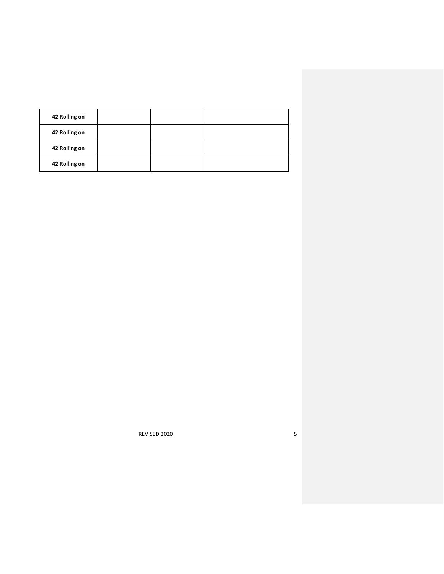| 42 Rolling on |  |  |
|---------------|--|--|
| 42 Rolling on |  |  |
| 42 Rolling on |  |  |
| 42 Rolling on |  |  |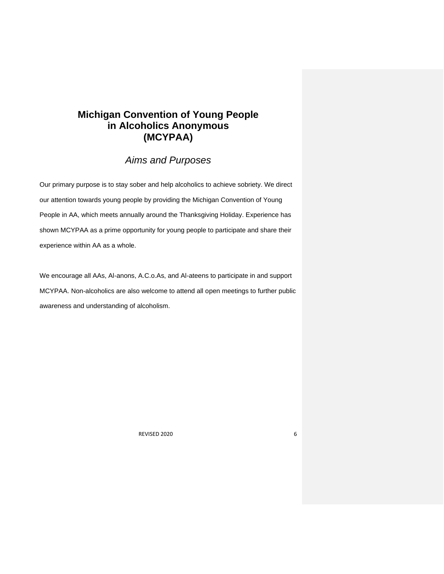# **Michigan Convention of Young People in Alcoholics Anonymous (MCYPAA)**

## *Aims and Purposes*

Our primary purpose is to stay sober and help alcoholics to achieve sobriety. We direct our attention towards young people by providing the Michigan Convention of Young People in AA, which meets annually around the Thanksgiving Holiday. Experience has shown MCYPAA as a prime opportunity for young people to participate and share their experience within AA as a whole.

We encourage all AAs, Al-anons, A.C.o.As, and Al-ateens to participate in and support MCYPAA. Non-alcoholics are also welcome to attend all open meetings to further public awareness and understanding of alcoholism.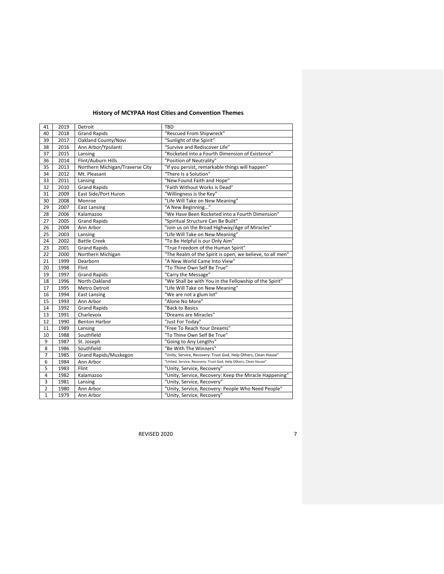## **History of MCYPAA Host Cities and Convention Themes**

| 41             | 2019 | Detroit                         | <b>TBD</b>                                                       |
|----------------|------|---------------------------------|------------------------------------------------------------------|
| 40             | 2018 | <b>Grand Rapids</b>             | "Rescued From Shipwreck"                                         |
| 39             | 2017 | Oakland County/Novi             | "Sunlight of the Spirit"                                         |
| 38             | 2016 | Ann Arbor/Ypsilanti             | "Survive and Rediscover Life"                                    |
| 37             | 2015 | Lansing                         | "Rocketed into a Fourth Dimension of Existence"                  |
| 36             | 2014 | Flint/Auburn Hills              | "Position of Neutrality"                                         |
| 35             | 2013 | Northern Michigan/Traverse City | "If you persist, remarkable things will happen"                  |
| 34             | 2012 | Mt. Pleasant                    | "There Is a Solution"                                            |
| 33             | 2011 | Lansing                         | "New Found Faith and Hope"                                       |
| 32             | 2010 | <b>Grand Rapids</b>             | "Faith Without Works is Dead"                                    |
| 31             | 2009 | East Side/Port Huron            | "Willingness is the Key"                                         |
| 30             | 2008 | Monroe                          | "Life Will Take on New Meaning"                                  |
| 29             | 2007 | <b>East Lansing</b>             | "A New Beginning"                                                |
| 28             | 2006 | Kalamazoo                       | "We Have Been Rocketed into a Fourth Dimension"                  |
| 27             | 2005 | <b>Grand Rapids</b>             | "Spiritual Structure Can Be Built"                               |
| 26             | 2004 | Ann Arbor                       | "Join us on the Broad Highway/Age of Miracles"                   |
| 25             | 2003 | Lansing                         | "Life Will Take on New Meaning"                                  |
| 24             | 2002 | <b>Battle Creek</b>             | "To Be Helpful is our Only Aim"                                  |
| 23             | 2001 | <b>Grand Rapids</b>             | "True Freedom of the Human Spirit"                               |
| 22             | 2000 | Northern Michigan               | "The Realm of the Spirit is open, we believe, to all men"        |
| 21             | 1999 | Dearborn                        | "A New World Came Into View"                                     |
| 20             | 1998 | Flint                           | "To Thine Own Self Be True"                                      |
| 19             | 1997 | <b>Grand Rapids</b>             | "Carry the Message"                                              |
| 18             | 1996 | North Oakland                   | "We Shall be with You in the Fellowship of the Spirit"           |
| 17             | 1995 | <b>Metro Detroit</b>            | "Life Will Take on New Meaning"                                  |
| 16             | 1994 | <b>East Lansing</b>             | "We are not a glum lot"                                          |
| 15             | 1993 | Ann Arbor                       | "Alone No More"                                                  |
| 14             | 1992 | <b>Grand Rapids</b>             | "Back to Basics                                                  |
| 13             | 1991 | Charlevoix                      | "Dreams are Miracles"                                            |
| 12             | 1990 | <b>Benton Harbor</b>            | "Just For Today"                                                 |
| 11             | 1989 | Lansing                         | "Free To Reach Your Dreams"                                      |
| 10             | 1988 | Southfield                      | "To Thine Own Self Be True"                                      |
| 9              | 1987 | St. Joseph                      | "Going to Any Lengths"                                           |
| 8              | 1986 | Southfield                      | "Be With The Winners"                                            |
| $\overline{7}$ | 1985 | Grand Rapids/Muskegon           | "Unity, Service, Recovery: Trust God, Help Others, Clean House"  |
| 6              | 1984 | Ann Arbor                       | "United, Service, Recovery: Trust God, Help Others, Clean House" |
| 5              | 1983 | Flint                           | "Unity, Service, Recovery"                                       |
| $\overline{4}$ | 1982 | Kalamazoo                       | "Unity, Service, Recovery: Keep the Miracle Happening"           |
| 3              | 1981 | Lansing                         | "Unity, Service, Recovery"                                       |
| $\overline{2}$ | 1980 | Ann Arbor                       | "Unity, Service, Recovery: People Who Need People"               |
| $\mathbf{1}$   | 1979 | Ann Arbor                       | "Unity, Service, Recovery"                                       |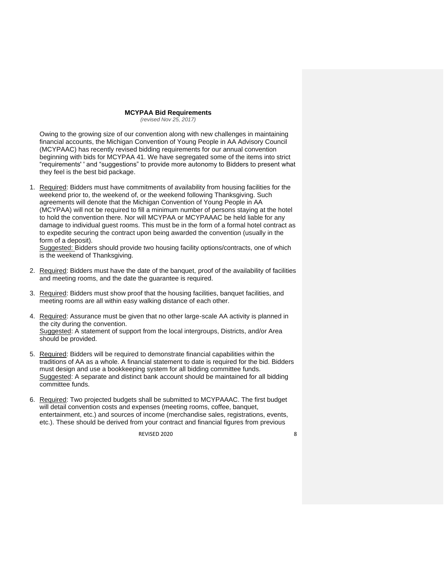## **MCYPAA Bid Requirements**

*(revised Nov 25, 2017)*

Owing to the growing size of our convention along with new challenges in maintaining financial accounts, the Michigan Convention of Young People in AA Advisory Council (MCYPAAC) has recently revised bidding requirements for our annual convention beginning with bids for MCYPAA 41. We have segregated some of the items into strict "requirements' ' and "suggestions" to provide more autonomy to Bidders to present what they feel is the best bid package.

1. Required: Bidders must have commitments of availability from housing facilities for the weekend prior to, the weekend of, or the weekend following Thanksgiving. Such agreements will denote that the Michigan Convention of Young People in AA (MCYPAA) will not be required to fill a minimum number of persons staying at the hotel to hold the convention there. Nor will MCYPAA or MCYPAAAC be held liable for any damage to individual guest rooms. This must be in the form of a formal hotel contract as to expedite securing the contract upon being awarded the convention (usually in the form of a deposit).

Suggested: Bidders should provide two housing facility options/contracts, one of which is the weekend of Thanksgiving.

- 2. Required: Bidders must have the date of the banquet, proof of the availability of facilities and meeting rooms, and the date the guarantee is required.
- 3. Required: Bidders must show proof that the housing facilities, banquet facilities, and meeting rooms are all within easy walking distance of each other.
- 4. Required: Assurance must be given that no other large-scale AA activity is planned in the city during the convention. Suggested: A statement of support from the local intergroups, Districts, and/or Area should be provided.
- 5. Required: Bidders will be required to demonstrate financial capabilities within the traditions of AA as a whole. A financial statement to date is required for the bid. Bidders must design and use a bookkeeping system for all bidding committee funds. Suggested: A separate and distinct bank account should be maintained for all bidding committee funds.
- 6. Required: Two projected budgets shall be submitted to MCYPAAAC. The first budget will detail convention costs and expenses (meeting rooms, coffee, banquet, entertainment, etc.) and sources of income (merchandise sales, registrations, events, etc.). These should be derived from your contract and financial figures from previous

REVISED 2020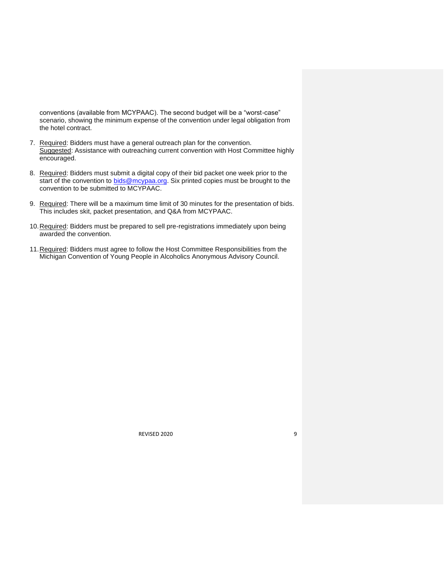conventions (available from MCYPAAC). The second budget will be a "worst-case" scenario, showing the minimum expense of the convention under legal obligation from the hotel contract.

- 7. Required: Bidders must have a general outreach plan for the convention. Suggested: Assistance with outreaching current convention with Host Committee highly encouraged.
- 8. Required: Bidders must submit a digital copy of their bid packet one week prior to the start of the convention to **bids@mcypaa.org.** Six printed copies must be brought to the convention to be submitted to MCYPAAC.
- 9. Required: There will be a maximum time limit of 30 minutes for the presentation of bids. This includes skit, packet presentation, and Q&A from MCYPAAC.
- 10. Required: Bidders must be prepared to sell pre-registrations immediately upon being awarded the convention.
- 11.Required: Bidders must agree to follow the Host Committee Responsibilities from the Michigan Convention of Young People in Alcoholics Anonymous Advisory Council.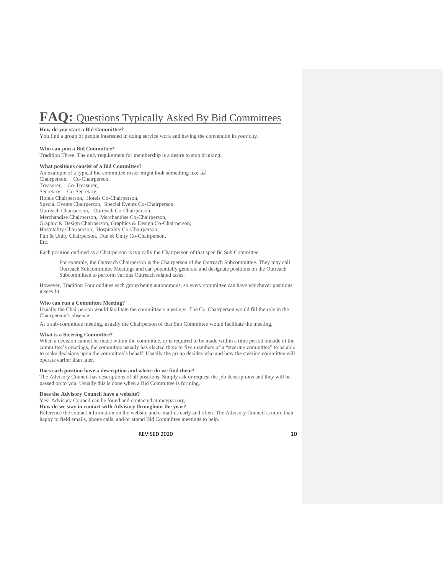# **FAQ:** Questions Typically Asked By Bid Committees

#### **How do you start a Bid Committee?**

You find a group of people interested in doing service work and having the convention in your city.

### **Who can join a Bid Committee?**

Tradition Three: The only requirement for membership is a desire to stop drinking.

## **What positions consist of a Bid Committee?**

An example of a typical bid committee roster might look something like: Chairperson, Co-Chairperson, Treasurer, Co-Treasurer, Secretary, Co-Secretary, Hotels Chairperson, Hotels Co-Chairperson, Special Events Chairperson, Special Events Co-Chairperson, Outreach Chairperson, Outreach Co-Chairperson, Merchandise Chairperson, Merchandise Co-Chairperson, Graphic & Design Chairperson, Graphics & Design Co-Chairperson, Hospitality Chairperson, Hospitality Co-Chairperson, Fun & Unity Chairperson, Fun & Unity Co-Chairperson, Etc.

Each position outlined as a Chairperson is typically the Chairperson of that specific Sub Committee.

For example, the Outreach Chairperson is the Chairperson of the Outreach Subcommittee. They may call Outreach Subcommittee Meetings and can potentially generate and designate positions on the Outreach Subcommittee to perform various Outreach related tasks.

However, Tradition Four outlines each group being autonomous, so every committee can have whichever positions it sees fit.

## **Who can run a Committee Meeting?**

Usually the Chairperson would facilitate the committee's meetings. The Co-Chairperson would fill the role in the Chairperson's absence.

At a sub-committee meeting, usually the Chairperson of that Sub Committee would facilitate the meeting.

## **What is a Steering Committee?**

When a decision cannot be made within the committee, or is required to be made within a time period outside of the committee's meetings, the committee usually has elected three to five members of a "steering committee" to be able to make decisions upon the committee's behalf. Usually the group decides who and how the steering committee will operate earlier than later.

## **Does each position have a description and where do we find them?**

The Advisory Council has descriptions of all positions. Simply ask or request the job descriptions and they will be passed on to you. Usually this is done when a Bid Committee is forming.

## **Does the Advisory Council have a website?**

Yes! Advisory Council can be found and contacted at mcypaa.org.

**How do we stay in contact with Advisory throughout the year?**

Reference the contact information on the website and e-mail us early and often. The Advisory Council is more than happy to field emails, phone calls, and/or attend Bid Committee meetings to help.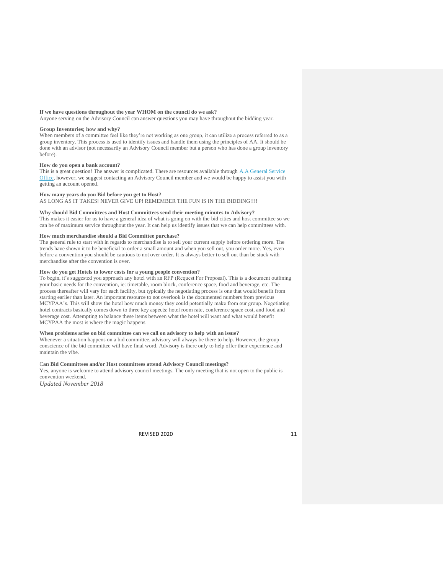## **If we have questions throughout the year WHOM on the council do we ask?**

Anyone serving on the Advisory Council can answer questions you may have throughout the bidding year.

#### **Group Inventories; how and why?**

When members of a committee feel like they're not working as one group, it can utilize a process referred to as a group inventory. This process is used to identify issues and handle them using the principles of AA. It should be done with an advisor (not necessarily an Advisory Council member but a person who has done a group inventory before).

#### **How do you open a bank account?**

This is a great question! The answer is complicated. There are resources available through A.A General Service [Office,](http://www.aa.org/assets/en_US/mg-15_finance.pdf) however, we suggest contacting an Advisory Council member and we would be happy to assist you with getting an account opened.

## **How many years do you Bid before you get to Host?**

AS LONG AS IT TAKES! NEVER GIVE UP! REMEMBER THE FUN IS IN THE BIDDING!!!!

## **Why should Bid Committees and Host Committees send their meeting minutes to Advisory?**

This makes it easier for us to have a general idea of what is going on with the bid cities and host committee so we can be of maximum service throughout the year. It can help us identify issues that we can help committees with.

## **How much merchandise should a Bid Committee purchase?**

The general rule to start with in regards to merchandise is to sell your current supply before ordering more. The trends have shown it to be beneficial to order a small amount and when you sell out, you order more. Yes, even before a convention you should be cautious to not over order. It is always better to sell out than be stuck with merchandise after the convention is over.

## **How do you get Hotels to lower costs for a young people convention?**

To begin, it's suggested you approach any hotel with an RFP (Request For Proposal). This is a document outlining your basic needs for the convention, ie: timetable, room block, conference space, food and beverage, etc. The process thereafter will vary for each facility, but typically the negotiating process is one that would benefit from starting earlier than later. An important resource to not overlook is the documented numbers from previous MCYPAA's. This will show the hotel how much money they could potentially make from our group. Negotiating hotel contracts basically comes down to three key aspects: hotel room rate, conference space cost, and food and beverage cost. Attempting to balance these items between what the hotel will want and what would benefit MCYPAA the most is where the magic happens.

## **When problems arise on bid committee can we call on advisory to help with an issue?**

Whenever a situation happens on a bid committee, advisory will always be there to help. However, the group conscience of the bid committee will have final word. Advisory is there only to help offer their experience and maintain the vibe.

## C**an Bid Committees and/or Host committees attend Advisory Council meetings?**

Yes, anyone is welcome to attend advisory council meetings. The only meeting that is not open to the public is convention weekend.

*Updated November 2018*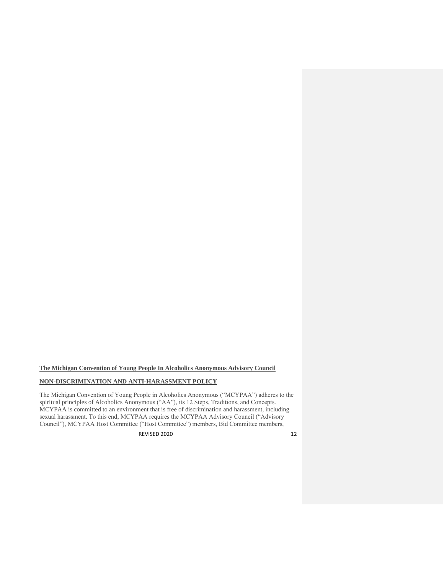**The Michigan Convention of Young People In Alcoholics Anonymous Advisory Council**

## **NON-DISCRIMINATION AND ANTI-HARASSMENT POLICY**

The Michigan Convention of Young People in Alcoholics Anonymous ("MCYPAA") adheres to the spiritual principles of Alcoholics Anonymous ("AA"), its 12 Steps, Traditions, and Concepts. MCYPAA is committed to an environment that is free of discrimination and harassment, including sexual harassment. To this end, MCYPAA requires the MCYPAA Advisory Council ("Advisory Council"), MCYPAA Host Committee ("Host Committee") members, Bid Committee members,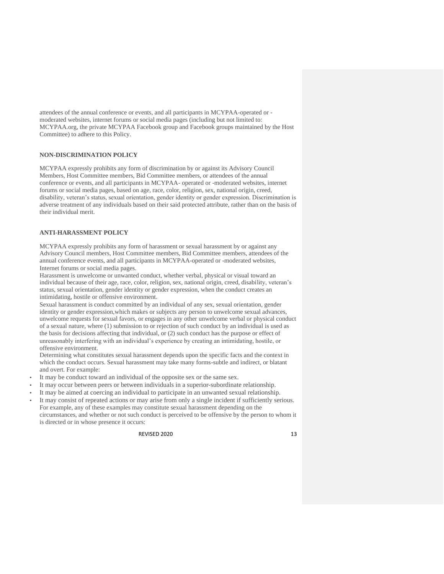attendees of the annual conference or events, and all participants in MCYPAA-operated or moderated websites, internet forums or social media pages (including but not limited to: MCYPAA.org, the private MCYPAA Facebook group and Facebook groups maintained by the Host Committee) to adhere to this Policy.

## **NON-DISCRIMINATION POLICY**

MCYPAA expressly prohibits any form of discrimination by or against its Advisory Council Members, Host Committee members, Bid Committee members, or attendees of the annual conference or events, and all participants in MCYPAA- operated or -moderated websites, internet forums or social media pages, based on age, race, color, religion, sex, national origin, creed, disability, veteran's status, sexual orientation, gender identity or gender expression. Discrimination is adverse treatment of any individuals based on their said protected attribute, rather than on the basis of their individual merit.

## **ANTI-HARASSMENT POLICY**

MCYPAA expressly prohibits any form of harassment or sexual harassment by or against any Advisory Council members, Host Committee members, Bid Committee members, attendees of the annual conference events, and all participants in MCYPAA-operated or -moderated websites, Internet forums or social media pages.

Harassment is unwelcome or unwanted conduct, whether verbal, physical or visual toward an individual because of their age, race, color, religion, sex, national origin, creed, disability, veteran's status, sexual orientation, gender identity or gender expression, when the conduct creates an intimidating, hostile or offensive environment.

Sexual harassment is conduct committed by an individual of any sex, sexual orientation, gender identity or gender expression,which makes or subjects any person to unwelcome sexual advances, unwelcome requests for sexual favors, or engages in any other unwelcome verbal or physical conduct of a sexual nature, where (1) submission to or rejection of such conduct by an individual is used as the basis for decisions affecting that individual, or (2) such conduct has the purpose or effect of unreasonably interfering with an individual's experience by creating an intimidating, hostile, or offensive environment.

Determining what constitutes sexual harassment depends upon the specific facts and the context in which the conduct occurs. Sexual harassment may take many forms-subtle and indirect, or blatant and overt. For example:

- It may be conduct toward an individual of the opposite sex or the same sex.
- It may occur between peers or between individuals in a superior-subordinate relationship.
- It may be aimed at coercing an individual to participate in an unwanted sexual relationship.
- It may consist of repeated actions or may arise from only a single incident if sufficiently serious. For example, any of these examples may constitute sexual harassment depending on the circumstances, and whether or not such conduct is perceived to be offensive by the person to whom it is directed or in whose presence it occurs: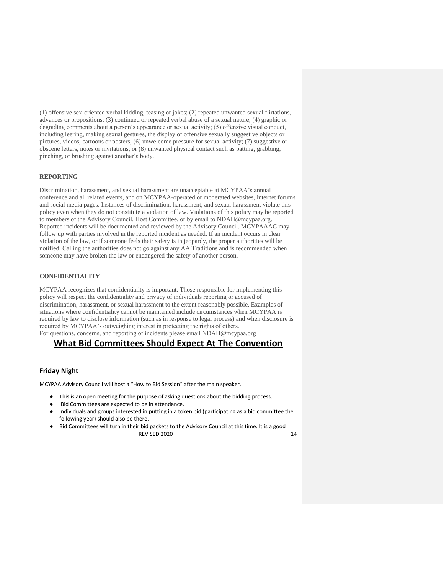(1) offensive sex-oriented verbal kidding, teasing or jokes; (2) repeated unwanted sexual flirtations, advances or propositions; (3) continued or repeated verbal abuse of a sexual nature; (4) graphic or degrading comments about a person's appearance or sexual activity; (5) offensive visual conduct, including leering, making sexual gestures, the display of offensive sexually suggestive objects or pictures, videos, cartoons or posters; (6) unwelcome pressure for sexual activity; (7) suggestive or obscene letters, notes or invitations; or (8) unwanted physical contact such as patting, grabbing, pinching, or brushing against another's body.

## **REPORTING**

Discrimination, harassment, and sexual harassment are unacceptable at MCYPAA's annual conference and all related events, and on MCYPAA-operated or moderated websites, internet forums and social media pages. Instances of discrimination, harassment, and sexual harassment violate this policy even when they do not constitute a violation of law. Violations of this policy may be reported to members of the Advisory Council, Host Committee, or by email to NDAH@mcypaa.org. Reported incidents will be documented and reviewed by the Advisory Council. MCYPAAAC may follow up with parties involved in the reported incident as needed. If an incident occurs in clear violation of the law, or if someone feels their safety is in jeopardy, the proper authorities will be notified. Calling the authorities does not go against any AA Traditions and is recommended when someone may have broken the law or endangered the safety of another person.

## **CONFIDENTIALITY**

MCYPAA recognizes that confidentiality is important. Those responsible for implementing this policy will respect the confidentiality and privacy of individuals reporting or accused of discrimination, harassment, or sexual harassment to the extent reasonably possible. Examples of situations where confidentiality cannot be maintained include circumstances when MCYPAA is required by law to disclose information (such as in response to legal process) and when disclosure is required by MCYPAA's outweighing interest in protecting the rights of others. For questions, concerns, and reporting of incidents please email NDAH@mcypaa.org

## **What Bid Committees Should Expect At The Convention**

## **Friday Night**

MCYPAA Advisory Council will host a "How to Bid Session" after the main speaker.

- This is an open meeting for the purpose of asking questions about the bidding process.
- Bid Committees are expected to be in attendance.
- Individuals and groups interested in putting in a token bid (participating as a bid committee the following year) should also be there.
- REVISED 2020 14 ● Bid Committees will turn in their bid packets to the Advisory Council at this time. It is a good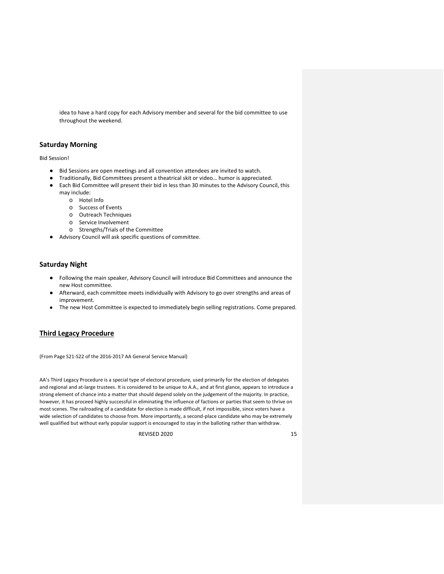idea to have a hard copy for each Advisory member and several for the bid committee to use throughout the weekend.

## **Saturday Morning**

Bid Session!

- Bid Sessions are open meetings and all convention attendees are invited to watch.
- Traditionally, Bid Committees present a theatrical skit or video… humor is appreciated.
- Each Bid Committee will present their bid in less than 30 minutes to the Advisory Council, this may include:
	- o Hotel Info
	- o Success of Events
	- o Outreach Techniques
	- o Service Involvement
	- o Strengths/Trials of the Committee
- Advisory Council will ask specific questions of committee.

## **Saturday Night**

- Following the main speaker, Advisory Council will introduce Bid Committees and announce the new Host committee.
- Afterward, each committee meets individually with Advisory to go over strengths and areas of improvement.
- The new Host Committee is expected to immediately begin selling registrations. Come prepared.

## **Third Legacy Procedure**

(From Page S21-S22 of the 2016-2017 AA General Service Manual)

AA's Third Legacy Procedure is a special type of electoral procedure, used primarily for the election of delegates and regional and at-large trustees. It is considered to be unique to A.A., and at first glance, appears to introduce a strong element of chance into a matter that should depend solely on the judgement of the majority. In practice, however, it has proceed highly successful in eliminating the influence of factions or parties that seem to thrive on most scenes. The railroading of a candidate for election is made difficult, if not impossible, since voters have a wide selection of candidates to choose from. More importantly, a second-place candidate who may be extremely well qualified but without early popular support is encouraged to stay in the balloting rather than withdraw.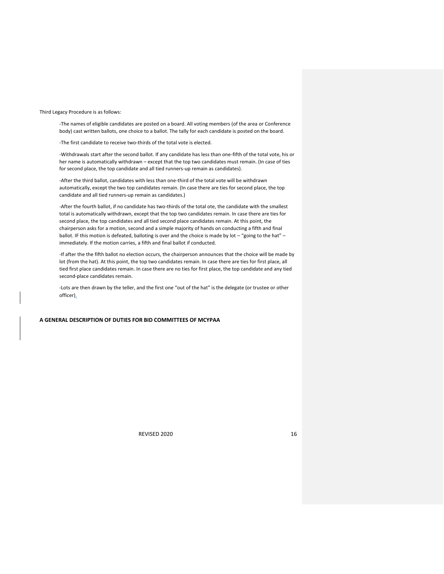Third Legacy Procedure is as follows:

-The names of eligible candidates are posted on a board. All voting members (of the area or Conference body) cast written ballots, one choice to a ballot. The tally for each candidate is posted on the board.

-The first candidate to receive two-thirds of the total vote is elected.

-Withdrawals start after the second ballot. If any candidate has less than one-fifth of the total vote, his or her name is automatically withdrawn – except that the top two candidates must remain. (In case of ties for second place, the top candidate and all tied runners-up remain as candidates).

-After the third ballot, candidates with less than one-third of the total vote will be withdrawn automatically, except the two top candidates remain. (In case there are ties for second place, the top candidate and all tied runners-up remain as candidates.)

-After the fourth ballot, if no candidate has two-thirds of the total ote, the candidate with the smallest total is automatically withdrawn, except that the top two candidates remain. In case there are ties for second place, the top candidates and all tied second place candidates remain. At this point, the chairperson asks for a motion, second and a simple majority of hands on conducting a fifth and final ballot. IF this motion is defeated, balloting is over and the choice is made by lot - "going to the hat" immediately. If the motion carries, a fifth and final ballot if conducted.

-If after the the fifth ballot no election occurs, the chairperson announces that the choice will be made by lot (from the hat). At this point, the top two candidates remain. In case there are ties for first place, all tied first place candidates remain. In case there are no ties for first place, the top candidate and any tied second-place candidates remain.

-Lots are then drawn by the teller, and the first one "out of the hat" is the delegate (or trustee or other officer).

## **A GENERAL DESCRIPTION OF DUTIES FOR BID COMMITTEES OF MCYPAA**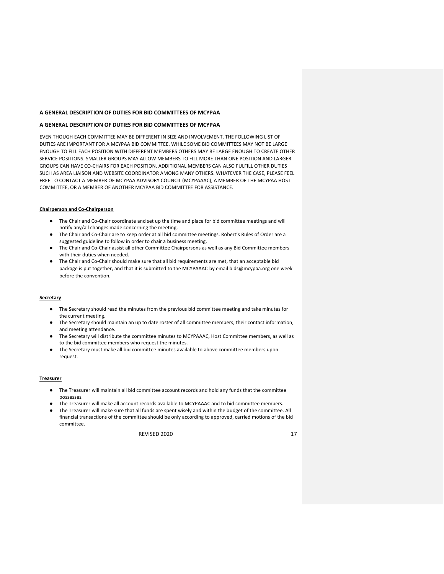## **A GENERAL DESCRIPTION OF DUTIES FOR BID COMMITTEES OF MCYPAA**

## **A GENERAL DESCRIPTION OF DUTIES FOR BID COMMITTEES OF MCYPAA**

EVEN THOUGH EACH COMMITTEE MAY BE DIFFERENT IN SIZE AND INVOLVEMENT, THE FOLLOWING LIST OF DUTIES ARE IMPORTANT FOR A MCYPAA BID COMMITTEE. WHILE SOME BID COMMITTEES MAY NOT BE LARGE ENOUGH TO FILL EACH POSITION WITH DIFFERENT MEMBERS OTHERS MAY BE LARGE ENOUGH TO CREATE OTHER SERVICE POSITIONS. SMALLER GROUPS MAY ALLOW MEMBERS TO FILL MORE THAN ONE POSITION AND LARGER GROUPS CAN HAVE CO-CHAIRS FOR EACH POSITION. ADDITIONAL MEMBERS CAN ALSO FULFILL OTHER DUTIES SUCH AS AREA LIAISON AND WEBSITE COORDINATOR AMONG MANY OTHERS. WHATEVER THE CASE, PLEASE FEEL FREE TO CONTACT A MEMBER OF MCYPAA ADVISORY COUNCIL (MCYPAAAC), A MEMBER OF THE MCYPAA HOST COMMITTEE, OR A MEMBER OF ANOTHER MCYPAA BID COMMITTEE FOR ASSISTANCE.

## **Chairperson and Co-Chairperson**

- The Chair and Co-Chair coordinate and set up the time and place for bid committee meetings and will notify any/all changes made concerning the meeting.
- The Chair and Co-Chair are to keep order at all bid committee meetings. Robert's Rules of Order are a suggested guideline to follow in order to chair a business meeting.
- The Chair and Co-Chair assist all other Committee Chairpersons as well as any Bid Committee members with their duties when needed.
- The Chair and Co-Chair should make sure that all bid requirements are met, that an acceptable bid package is put together, and that it is submitted to the MCYPAAAC by email bids@mcypaa.org one week before the convention.

## **Secretary**

- The Secretary should read the minutes from the previous bid committee meeting and take minutes for the current meeting.
- The Secretary should maintain an up to date roster of all committee members, their contact information, and meeting attendance.
- The Secretary will distribute the committee minutes to MCYPAAAC, Host Committee members, as well as to the bid committee members who request the minutes.
- The Secretary must make all bid committee minutes available to above committee members upon request.

#### **Treasurer**

- The Treasurer will maintain all bid committee account records and hold any funds that the committee possesses.
- The Treasurer will make all account records available to MCYPAAAC and to bid committee members.
- The Treasurer will make sure that all funds are spent wisely and within the budget of the committee. All financial transactions of the committee should be only according to approved, carried motions of the bid committee.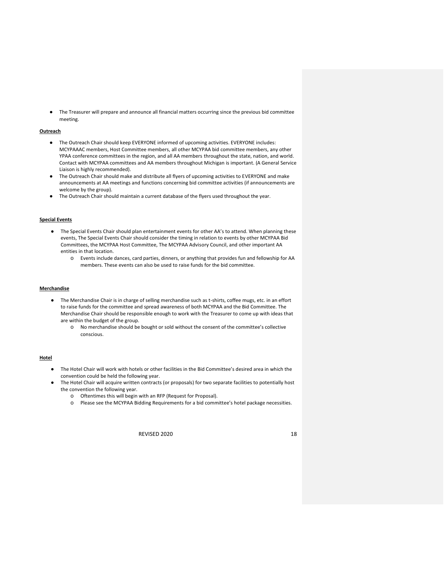● The Treasurer will prepare and announce all financial matters occurring since the previous bid committee meeting.

## **Outreach**

- The Outreach Chair should keep EVERYONE informed of upcoming activities. EVERYONE includes: MCYPAAAC members, Host Committee members, all other MCYPAA bid committee members, any other YPAA conference committees in the region, and all AA members throughout the state, nation, and world. Contact with MCYPAA committees and AA members throughout Michigan is important. (A General Service Liaison is highly recommended).
- The Outreach Chair should make and distribute all flyers of upcoming activities to EVERYONE and make announcements at AA meetings and functions concerning bid committee activities (if announcements are welcome by the group).
- The Outreach Chair should maintain a current database of the flyers used throughout the year.

## **Special Events**

- The Special Events Chair should plan entertainment events for other AA's to attend. When planning these events, The Special Events Chair should consider the timing in relation to events by other MCYPAA Bid Committees, the MCYPAA Host Committee, The MCYPAA Advisory Council, and other important AA entities in that location.
	- o Events include dances, card parties, dinners, or anything that provides fun and fellowship for AA members. These events can also be used to raise funds for the bid committee.

#### **Merchandise**

- The Merchandise Chair is in charge of selling merchandise such as t-shirts, coffee mugs, etc. in an effort to raise funds for the committee and spread awareness of both MCYPAA and the Bid Committee. The Merchandise Chair should be responsible enough to work with the Treasurer to come up with ideas that are within the budget of the group.
	- o No merchandise should be bought or sold without the consent of the committee's collective conscious.

## **Hotel**

- The Hotel Chair will work with hotels or other facilities in the Bid Committee's desired area in which the convention could be held the following year.
- The Hotel Chair will acquire written contracts (or proposals) for two separate facilities to potentially host the convention the following year.
	- o Oftentimes this will begin with an RFP (Request for Proposal).
	- o Please see the MCYPAA Bidding Requirements for a bid committee's hotel package necessities.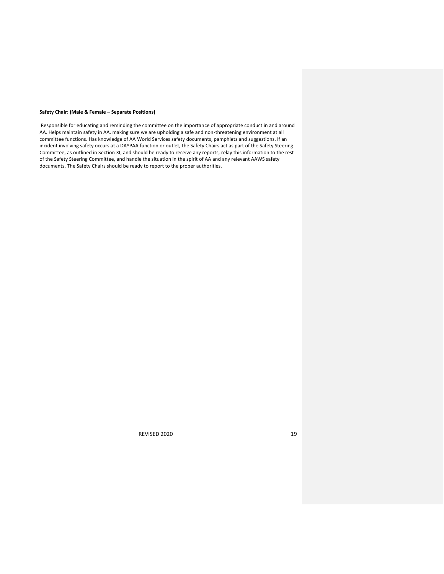## **Safety Chair: (Male & Female – Separate Positions)**

Responsible for educating and reminding the committee on the importance of appropriate conduct in and around AA. Helps maintain safety in AA, making sure we are upholding a safe and non-threatening environment at all committee functions. Has knowledge of AA World Services safety documents, pamphlets and suggestions. If an incident involving safety occurs at a DAYPAA function or outlet, the Safety Chairs act as part of the Safety Steering Committee, as outlined in Section XI, and should be ready to receive any reports, relay this information to the rest of the Safety Steering Committee, and handle the situation in the spirit of AA and any relevant AAWS safety documents. The Safety Chairs should be ready to report to the proper authorities.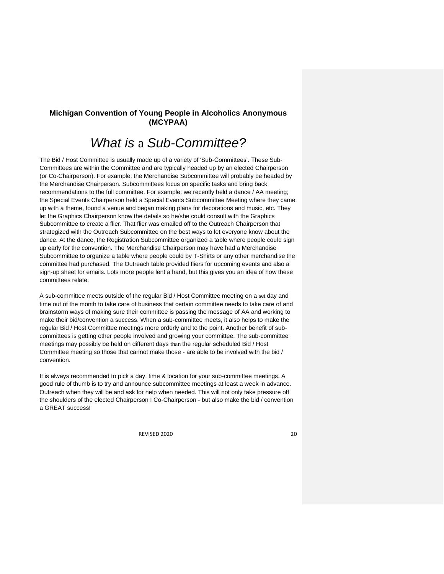## **Michigan Convention of Young People in Alcoholics Anonymous (MCYPAA)**

# *What is* a *Sub-Committee?*

The Bid / Host Committee is usually made up of a variety of 'Sub-Committees'. These Sub-Committees are within the Committee and are typically headed up by an elected Chairperson (or Co-Chairperson). For example: the Merchandise Subcommittee will probably be headed by the Merchandise Chairperson. Subcommittees focus on specific tasks and bring back recommendations to the full committee. For example: we recently held a dance / AA meeting; the Special Events Chairperson held a Special Events Subcommittee Meeting where they came up with a theme, found a venue and began making plans for decorations and music, etc. They let the Graphics Chairperson know the details so he/she could consult with the Graphics Subcommittee to create a flier. That flier was emailed off to the Outreach Chairperson that strategized with the Outreach Subcommittee on the best ways to let everyone know about the dance. At the dance, the Registration Subcommittee organized a table where people could sign up early for the convention. The Merchandise Chairperson may have had a Merchandise Subcommittee to organize a table where people could by T-Shirts or any other merchandise the committee had purchased. The Outreach table provided fliers for upcoming events and also a sign-up sheet for emails. Lots more people lent a hand, but this gives you an idea of how these committees relate.

A sub-committee meets outside of the regular Bid / Host Committee meeting on a set day and time out of the month to take care of business that certain committee needs to take care of and brainstorm ways of making sure their committee is passing the message of AA and working to make their bid/convention a success. When a sub-committee meets, it also helps to make the regular Bid / Host Committee meetings more orderly and to the point. Another benefit of subcommittees is getting other people involved and growing your committee. The sub-committee meetings may possibly be held on different days than the regular scheduled Bid / Host Committee meeting so those that cannot make those - are able to be involved with the bid / convention.

It is always recommended to pick a day, time & location for your sub-committee meetings. A good rule of thumb is to try and announce subcommittee meetings at least a week in advance. Outreach when they will be and ask for help when needed. This will not only take pressure off the shoulders of the elected Chairperson I Co-Chairperson - but also make the bid / convention a GREAT success!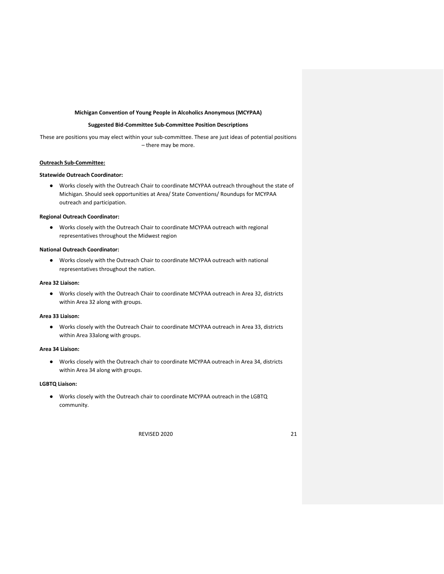## **Michigan Convention of Young People in Alcoholics Anonymous (MCYPAA)**

## **Suggested Bid-Committee Sub-Committee Position Descriptions**

These are positions you may elect within your sub-committee. These are just ideas of potential positions – there may be more.

## **Outreach Sub-Committee:**

## **Statewide Outreach Coordinator:**

● Works closely with the Outreach Chair to coordinate MCYPAA outreach throughout the state of Michigan. Should seek opportunities at Area/ State Conventions/ Roundups for MCYPAA outreach and participation.

## **Regional Outreach Coordinator:**

● Works closely with the Outreach Chair to coordinate MCYPAA outreach with regional representatives throughout the Midwest region

## **National Outreach Coordinator:**

● Works closely with the Outreach Chair to coordinate MCYPAA outreach with national representatives throughout the nation.

## **Area 32 Liaison:**

● Works closely with the Outreach Chair to coordinate MCYPAA outreach in Area 32, districts within Area 32 along with groups.

#### **Area 33 Liaison:**

● Works closely with the Outreach Chair to coordinate MCYPAA outreach in Area 33, districts within Area 33along with groups.

## **Area 34 Liaison:**

● Works closely with the Outreach chair to coordinate MCYPAA outreach in Area 34, districts within Area 34 along with groups.

## **LGBTQ Liaison:**

● Works closely with the Outreach chair to coordinate MCYPAA outreach in the LGBTQ community.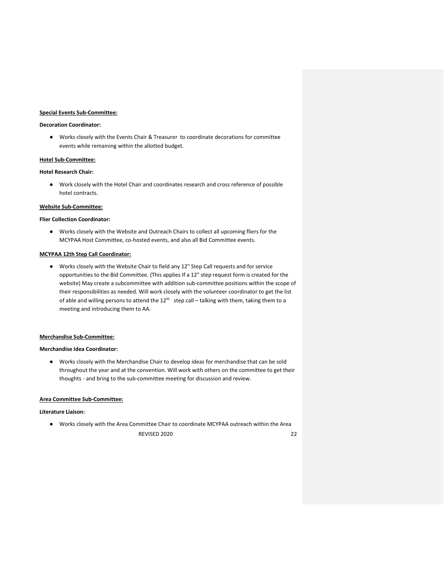## **Special Events Sub-Committee:**

## **Decoration Coordinator:**

● Works closely with the Events Chair & Treasurer to coordinate decorations for committee events while remaining within the allotted budget.

## **Hotel Sub-Committee:**

## **Hotel Research Chair:**

● Work closely with the Hotel Chair and coordinates research and cross reference of possible hotel contracts.

## **Website Sub-Committee:**

## **Flier Collection Coordinator:**

● Works closely with the Website and Outreach Chairs to collect all upcoming fliers for the MCYPAA Host Committee, co-hosted events, and also all Bid Committee events.

## **MCYPAA 12th Step Call Coordinator:**

● Works closely with the Website Chair to field any 12" Step Call requests and for service opportunities to the Bid Committee. (This applies If a 12" step request form is created for the website) May create a subcommittee with addition sub-committee positions within the scope of their responsibilities as needed. Will work closely with the volunteer coordinator to get the list of able and willing persons to attend the  $12<sup>th</sup>$  step call – talking with them, taking them to a meeting and introducing them to AA.

### **Merchandise Sub-Committee:**

## **Merchandise Idea Coordinator:**

● Works closely with the Merchandise Chair to develop ideas for merchandise that can be sold throughout the year and at the convention. Will work with others on the committee to get their thoughts - and bring to the sub-committee meeting for discussion and review.

## **Area Committee Sub-Committee:**

## **Literature Liaison:**

REVISED 2020 22 ● Works closely with the Area Committee Chair to coordinate MCYPAA outreach within the Area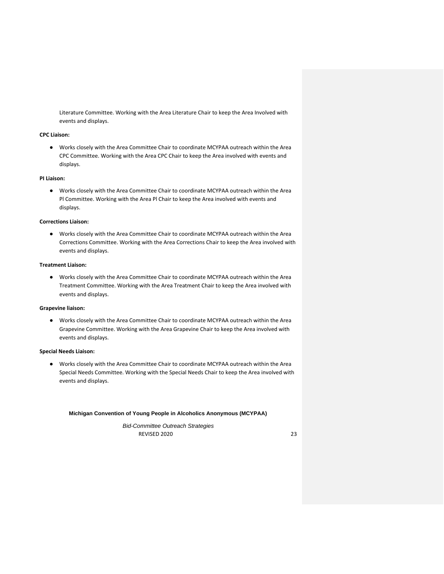Literature Committee. Working with the Area Literature Chair to keep the Area Involved with events and displays.

## **CPC Liaison:**

● Works closely with the Area Committee Chair to coordinate MCYPAA outreach within the Area CPC Committee. Working with the Area CPC Chair to keep the Area involved with events and displays.

## **PI Liaison:**

● Works closely with the Area Committee Chair to coordinate MCYPAA outreach within the Area Pl Committee. Working with the Area Pl Chair to keep the Area involved with events and displays.

## **Corrections Liaison:**

● Works closely with the Area Committee Chair to coordinate MCYPAA outreach within the Area Corrections Committee. Working with the Area Corrections Chair to keep the Area involved with events and displays.

## **Treatment Liaison:**

● Works closely with the Area Committee Chair to coordinate MCYPAA outreach within the Area Treatment Committee. Working with the Area Treatment Chair to keep the Area involved with events and displays.

## **Grapevine liaison:**

● Works closely with the Area Committee Chair to coordinate MCYPAA outreach within the Area Grapevine Committee. Working with the Area Grapevine Chair to keep the Area involved with events and displays.

## **Special Needs Liaison:**

● Works closely with the Area Committee Chair to coordinate MCYPAA outreach within the Area Special Needs Committee. Working with the Special Needs Chair to keep the Area involved with events and displays.

## **Michigan Convention of Young People in Alcoholics Anonymous (MCYPAA)**

REVISED 2020 23 *Bid-Committee Outreach Strategies*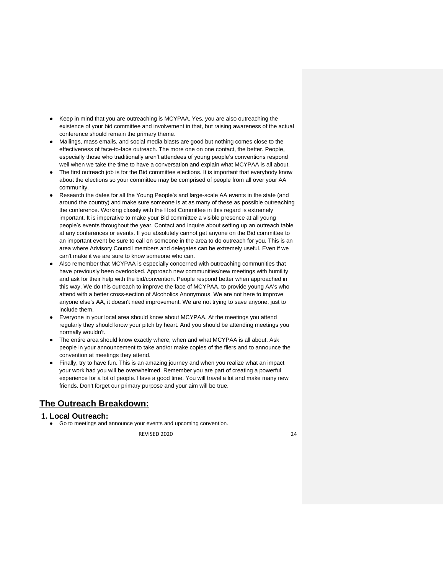- Keep in mind that you are outreaching is MCYPAA. Yes, you are also outreaching the existence of your bid committee and involvement in that, but raising awareness of the actual conference should remain the primary theme.
- Mailings, mass emails, and social media blasts are good but nothing comes close to the effectiveness of face-to-face outreach. The more one on one contact, the better. People, especially those who traditionally aren't attendees of young people's conventions respond well when we take the time to have a conversation and explain what MCYPAA is all about.
- The first outreach job is for the Bid committee elections. It is important that everybody know about the elections so your committee may be comprised of people from all over your AA community.
- Research the dates for all the Young People's and large-scale AA events in the state (and around the country) and make sure someone is at as many of these as possible outreaching the conference. Working closely with the Host Committee in this regard is extremely important. It is imperative to make your Bid committee a visible presence at all young people's events throughout the year. Contact and inquire about setting up an outreach table at any conferences or events. If you absolutely cannot get anyone on the Bid committee to an important event be sure to call on someone in the area to do outreach for you. This is an area where Advisory Council members and delegates can be extremely useful. Even if we can't make it we are sure to know someone who can.
- Also remember that MCYPAA is especially concerned with outreaching communities that have previously been overlooked. Approach new communities/new meetings with humility and ask for their help with the bid/convention. People respond better when approached in this way. We do this outreach to improve the face of MCYPAA, to provide young AA's who attend with a better cross-section of Alcoholics Anonymous. We are not here to improve anyone else's AA, it doesn't need improvement. We are not trying to save anyone, just to include them.
- Everyone in your local area should know about MCYPAA. At the meetings you attend regularly they should know your pitch by heart. And you should be attending meetings you normally wouldn't.
- The entire area should know exactly where, when and what MCYPAA is all about. Ask people in your announcement to take and/or make copies of the fliers and to announce the convention at meetings they attend.
- Finally, try to have fun. This is an amazing journey and when you realize what an impact your work had you will be overwhelmed. Remember you are part of creating a powerful experience for a lot of people. Have a good time. You will travel a lot and make many new friends. Don't forget our primary purpose and your aim will be true.

## **The Outreach Breakdown:**

## **1. Local Outreach:**

● Go to meetings and announce your events and upcoming convention.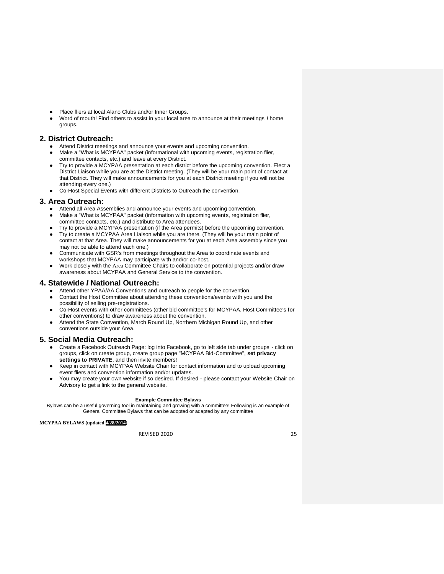- Place fliers at local Alano Clubs and/or Inner Groups.
- Word of mouth! Find others to assist in your local area to announce at their meetings *I* home groups.

## **2. District Outreach:**

- Attend District meetings and announce your events and upcoming convention.
- Make a "What is MCYPAA" packet (informational with upcoming events, registration flier, committee contacts, etc.) and leave at every District.
- Try to provide a MCYPAA presentation at each district before the upcoming convention. Elect a District Liaison while you are at the District meeting. (They will be your main point of contact at that District. They will make announcements for you at each District meeting if you will not be attending every one.)
- Co-Host Special Events with different Districts to Outreach the convention.

## **3. Area Outreach:**

- Attend all Area Assemblies and announce your events and upcoming convention.
- Make a "What is MCYPAA" packet (information with upcoming events, registration flier, committee contacts, etc.) and distribute to Area attendees.
- Try to provide a MCYPAA presentation (if the Area permits) before the upcoming convention.
- Try to create a MCYPAA Area Liaison while you are there. (They will be your main point of contact at that Area. They will make announcements for you at each Area assembly since you may not be able to attend each one.)
- Communicate with GSR's from meetings throughout the Area to coordinate events and workshops that MCYPAA may participate with and/or co-host.
- Work closely with the Area Committee Chairs to collaborate on potential projects and/or draw awareness about MCYPAA and General Service to the convention.

## **4. Statewide** *I* **National Outreach:**

- **Attend other YPAA/AA Conventions and outreach to people for the convention.**
- Contact the Host Committee about attending these conventions/events with you and the possibility of selling pre-registrations.
- Co-Host events with other committees (other bid committee's for MCYPAA, Host Committee's for other conventions) to draw awareness about the convention.
- Attend the State Convention, March Round Up, Northern Michigan Round Up, and other conventions outside your Area.

## **5. Social Media Outreach:**

- Create a Facebook Outreach Page: log into Facebook, go to left side tab under groups click on groups, click on create group, create group page "MCYPAA Bid-Committee'', **set privacy settings to PRIVATE**, and then invite members!
- Keep in contact with MCYPAA Website Chair for contact information and to upload upcoming event fliers and convention information and/or updates.
- You may create your own website if so desired. If desired please contact your Website Chair on Advisory to get a link to the general website.

## **Example Committee Bylaws**

Bylaws can be a useful governing tool in maintaining and growing with a committee! Following is an example of General Committee Bylaws that can be adopted or adapted by any committee

## **MCYPAA BYLAWS (updated 4/28/2014)**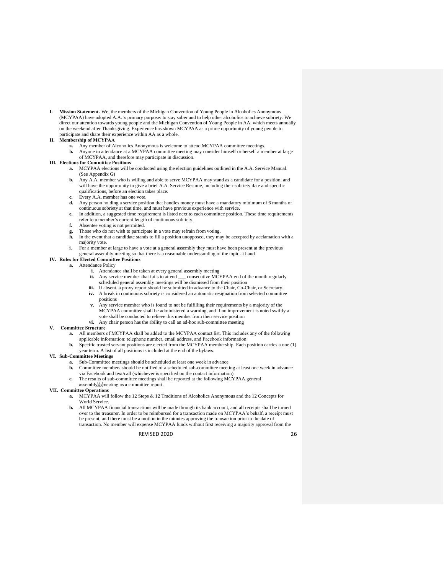**I. Mission Statement-** We, the members of the Michigan Convention of Young People in Alcoholics Anonymous (MCYPAA) have adopted A.A. 's primary purpose: to stay sober and to help other alcoholics to achieve sobriety. We direct our attention towards young people and the Michigan Convention of Young People in AA, which meets annually on the weekend after Thanksgiving. Experience has shown MCYPAA as a prime opportunity of young people to participate and share their experience within AA as a whole.

#### **II. Membership of MCYPAA**

- **a.** Any member of Alcoholics Anonymous is welcome to attend MCYPAA committee meetings.
- **b.** Anyone in attendance at a MCYPAA committee meeting may consider himself or herself a member at large of MCYPAA, and therefore may participate in discussion.

## **III. Elections for Committee Positions**

- **a.** MCYPAA elections will be conducted using the election guidelines outlined in the A.A. Service Manual. (See Appendix G)
- **b.** Any A.A. member who is willing and able to serve MCYPAA may stand as a candidate for a position, and will have the opportunity to give a brief A.A. Service Resume, including their sobriety date and specific qualifications, before an election takes place.
- Every A.A. member has one vote.
- Any person holding a service position that handles money must have a mandatory minimum of 6 months of continuous sobriety at that time, and must have previous experience with service.
- **e.** In addition, a suggested time requirement is listed next to each committee position. These time requirements refer to a member's current length of continuous sobriety.
- **f.** Absentee voting is not permitted.
- Those who do not wish to participate in a vote may refrain from voting.
- **h.** In the event that a candidate stands to fill a position unopposed, they may be accepted by acclamation with a majority vote.
- **i.** For a member at large to have a vote at a general assembly they must have been present at the previous general assembly meeting so that there is a reasonable understanding of the topic at hand

## **IV. Rules for Elected Committee Positions**

- **a.** Attendance Policy
	- **i.** Attendance shall be taken at every general assembly meeting
	- ii. Any service member that fails to attend \_\_\_ consecutive MCYPAA end of the month regularly scheduled general assembly meetings will be dismissed from their position
	- iii. If absent, a proxy report should be submitted in advance to the Chair, Co-Chair, or Secretary. **iv.** A break in continuous sobriety is considered an automatic resignation from selected committee
	- positions **v.** Any service member who is found to not be fulfilling their requirements by a majority of the
	- MCYPAA committee shall be administered a warning, and if no improvement is noted swiftly a vote shall be conducted to relieve this member from their service position
	- **vi.** Any chair person has the ability to call an ad-hoc sub-committee meeting

## **V. Committee Structure**

- **a.** All members of MCYPAA shall be added to the MCYPAA contact list. This includes any of the following applicable information: telephone number, email address, and Facebook information
- **b.** Specific trusted servant positions are elected from the MCYPAA membership. Each position carries a one (1) year term. A list of all positions is included at the end of the bylaws.

#### **VI. Sub-Committee Meetings**

- **a.** Sub-Committee meetings should be scheduled at least one week in advance
- **b.** Committee members should be notified of a scheduled sub-committee meeting at least one week in advance via Facebook and text/call (whichever is specified on the contact information)
- **c.** The results of sub-committee meetings shall be reported at the following MCYPAA general
- assembly
meeting as a committee report.

#### **VII. Committee Operations**

- **a.** MCYPAA will follow the 12 Steps & 12 Traditions of Alcoholics Anonymous and the 12 Concepts for World Service.
- **b.** All MCYPAA financial transactions will be made through its bank account, and all receipts shall be turned over to the treasurer. In order to be reimbursed for a transaction made on MCYPAA's behalf, a receipt must be present, and there must be a motion in the minutes approving the transaction prior to the date of transaction. No member will expense MCYPAA funds without first receiving a majority approval from the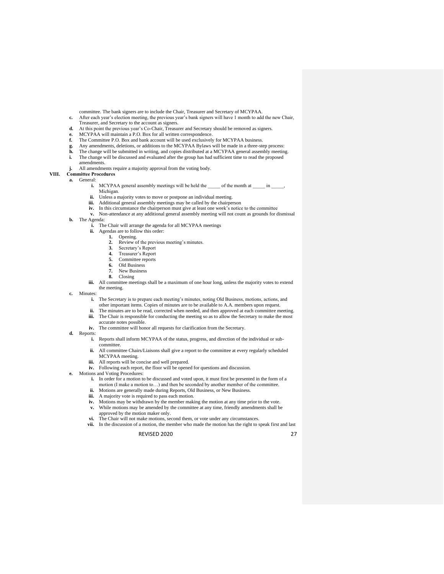committee. The bank signers are to include the Chair, Treasurer and Secretary of MCYPAA.

- **c.** After each year's election meeting, the previous year's bank signers will have 1 month to add the new Chair, Treasurer, and Secretary to the account as signers.
- **d.** At this point the previous year's Co-Chair, Treasurer and Secretary should be removed as signers.
- **e.** MCYPAA will maintain a P.O. Box for all written correspondence.
- **f.** The Committee P.O. Box and bank account will be used exclusively for MCYPAA business.
- **g.** Any amendments, deletions, or additions to the MCYPAA Bylaws will be made in a three-step process:
- **h.** The change will be submitted in writing, and copies distributed at a MCYPAA general assembly meeting.<br> **h.** The change will be discussed and evaluated after the group has had sufficient time to read the proposed
- **i.** The change will be discussed and evaluated after the group has had sufficient time to read the proposed amendments.
- **j.** All amendments require a majority approval from the voting body.
- **VIII. Committee Procedures**

#### **a.** General:

- **i.** MCYPAA general assembly meetings will be held the \_\_\_\_\_ of the month at \_\_\_\_\_ in \_ Michigan.
	- ii. Unless a majority votes to move or postpone an individual meeting.
	- iii. Additional general assembly meetings may be called by the chairperson
	- **iv.** In this circumstance the chairperson must give at least one week's notice to the committee
- **v.** Non-attendance at any additional general assembly meeting will not count as grounds for dismissal
- **b.** The Agenda:
	- **i.** The Chair will arrange the agenda for all MCYPAA meetings
	- **ii.** Agendas are to follow this order:
		- 1. Opening.<br>2. Review o
		- **2.** Review of the previous meeting's minutes.
		- **3.** Secretary's Report<br>**4.** Treasurer's Report
		- **4.** Treasurer's Report
		- **5.** Committee reports
		- **6.** Old Business
		- **7.** New Business
		- **8.** Closing
	- iii. All committee meetings shall be a maximum of one hour long, unless the majority votes to extend the meeting.
- **c.** Minutes:
	- **i.** The Secretary is to prepare each meeting's minutes, noting Old Business, motions, actions, and other important items. Copies of minutes are to be available to A.A. members upon request.
	- **ii.** The minutes are to be read, corrected when needed, and then approved at each committee meeting. **iii.** The Chair is responsible for conducting the meeting so as to allow the Secretary to make the most
	- accurate notes possible.
	- **iv.** The committee will honor all requests for clarification from the Secretary.
- **d.** Reports:
	- **i.** Reports shall inform MCYPAA of the status, progress, and direction of the individual or subcommittee.
		- ii. All committee Chairs/Liaisons shall give a report to the committee at every regularly scheduled MCYPAA meeting.
	- **iii.** All reports will be concise and well prepared.
	- **iv.** Following each report, the floor will be opened for questions and discussion.
- **e.** Motions and Voting Procedures:
	- **i.** In order for a motion to be discussed and voted upon, it must first be presented in the form of a motion (I make a motion to…) and then be seconded by another member of the committee.
	- **ii.** Motions are generally made during Reports, Old Business, or New Business.
	- **iii.** A majority vote is required to pass each motion.
	- **iv.** Motions may be withdrawn by the member making the motion at any time prior to the vote.
	- **v.** While motions may be amended by the committee at any time, friendly amendments shall be approved by the motion maker only.
	- **vi.** The Chair will not make motions, second them, or vote under any circumstances.
	- **vii.** In the discussion of a motion, the member who made the motion has the right to speak first and last